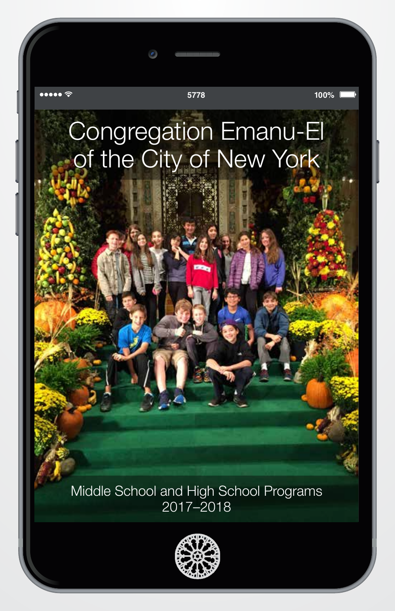

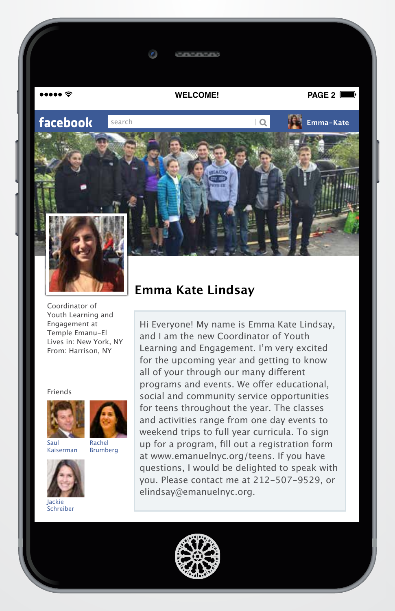$\bullet \bullet \bullet \mathrel{\widehat{\mathop{\sim}}\mathop{\sim}}$ 

**WELCOME! PAGE 2**

**facebook search in the search in the search of the search in the search in the search in the search in the search in the search in the search in the search in the search in the search in the search in the search in th** 



Coordinator of Youth Learning and Engagement at Temple Emanu-El Lives in: New York, NY From: Harrison, NY

Friends





Saul Kaiserman



Jackie Schreiber



Hi Everyone! My name is Emma Kate Lindsay, and I am the new Coordinator of Youth Learning and Engagement. I'm very excited for the upcoming year and getting to know all of your through our many different programs and events. We offer educational, social and community service opportunities for teens throughout the year. The classes and activities range from one day events to weekend trips to full year curricula. To sign up for a program, fill out a registration form at www.emanuelnyc.org/teens. If you have questions, I would be delighted to speak with you. Please contact me at 212-507-9529, or elindsay@emanuelnyc.org.

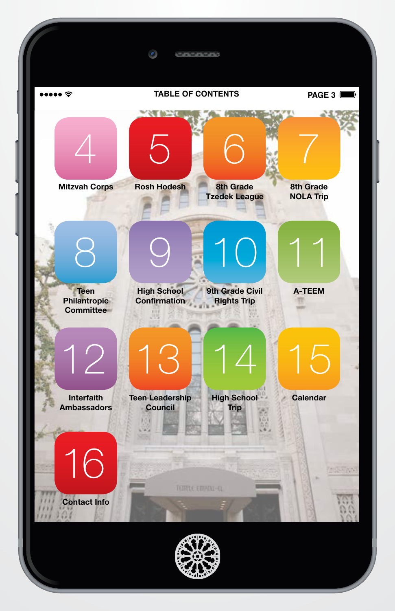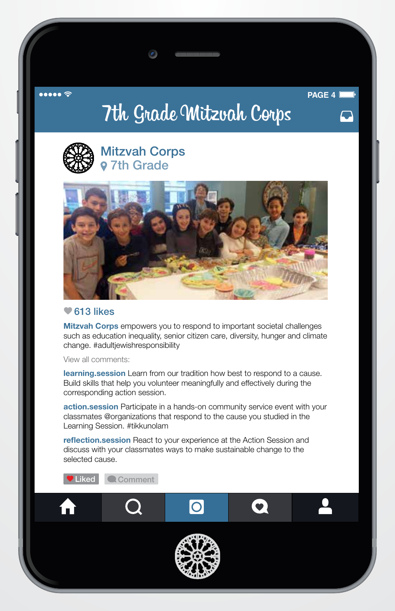#### AAAAA S

**PAGE 4**

# 7th Grade Mitzvah Corps



## Mitzvah Corps 7th Grade



#### $\blacktriangleright$  613 likes

**Mitzvah Corps** empowers you to respond to important societal challenges such as education inequality, senior citizen care, diversity, hunger and climate change. #adultjewishresponsibility

View all comments:

learning.session Learn from our tradition how best to respond to a cause. Build skills that help you volunteer meaningfully and effectively during the corresponding action session.

action.session Participate in a hands-on community service event with your classmates @organizations that respond to the cause you studied in the Learning Session. #tikkunolam

reflection.session React to your experience at the Action Session and discuss with your classmates ways to make sustainable change to the selected cause.

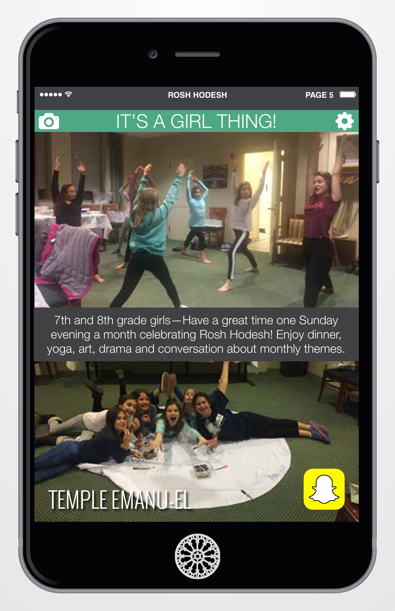nne ÷

 $\bullet$ 

**ROSH HODESH**

**PAGE 5**

## IT'S A GIRL THING!

7th and 8th grade girls—Have a great time one Sunday evening a month celebrating Rosh Hodesh! Enjoy dinner, yoga, art, drama and conversation about monthly themes.

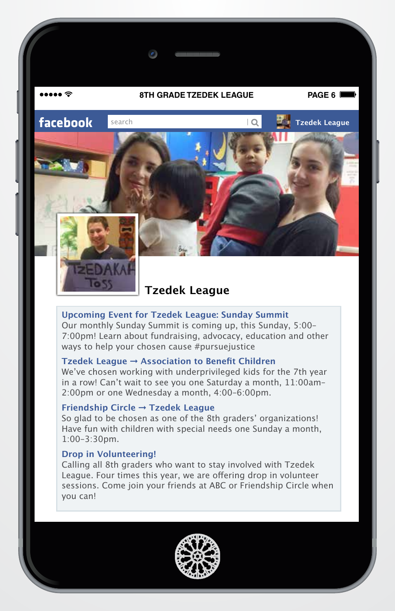#### **8TH GRADE TZEDEK LEAGUE PAGE 6**

**facebook search** *Tacebook* **IQ** *Tacebook* 



naaa ⊗



## **Tzedek League**

#### **Upcoming Event for Tzedek League: Sunday Summit**

Our monthly Sunday Summit is coming up, this Sunday, 5:00– 7:00pm! Learn about fundraising, advocacy, education and other ways to help your chosen cause #pursuejustice

#### **Tzedek League** ➞ **Association to Benefit Children**

We've chosen working with underprivileged kids for the 7th year in a row! Can't wait to see you one Saturday a month, 11:00am– 2:00pm or one Wednesday a month, 4:00–6:00pm.

#### **Friendship Circle** ➞ **Tzedek League**

So glad to be chosen as one of the 8th graders' organizations! Have fun with children with special needs one Sunday a month, 1:00–3:30pm.

#### **Drop in Volunteering!**

Calling all 8th graders who want to stay involved with Tzedek League. Four times this year, we are offering drop in volunteer sessions. Come join your friends at ABC or Friendship Circle when you can!

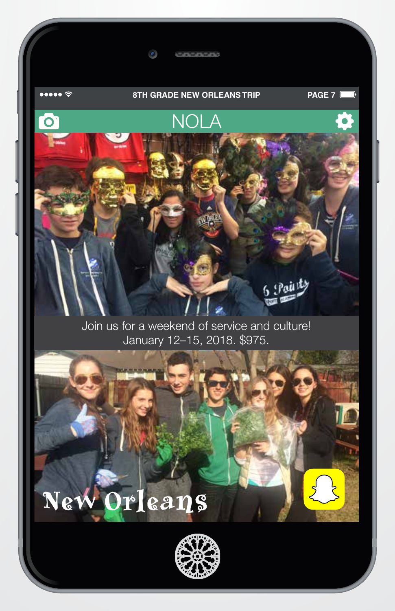#### **8TH GRADE NEW ORLEANS TRIP PAGE 7**

 $\bullet$ 

 $\bullet \bullet \bullet \bullet \mathrel{\widehat{\approx}}$ 

# NOLA  $\overline{O}$

Join us for a weekend of service and culture! January 12–15, 2018. \$975.

# New Orleans

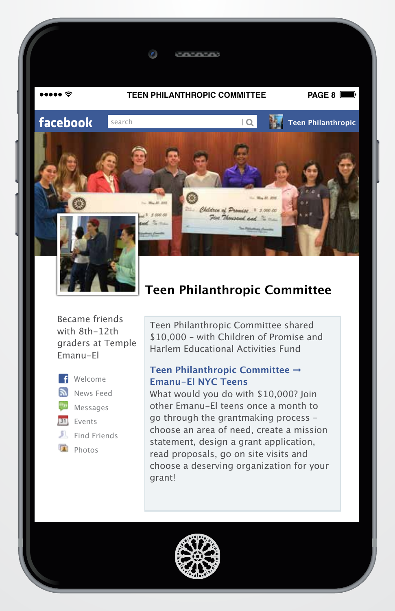

#### **TEEN PHILANTHROPIC COMMITTEE PAGE 8**

 $\bullet$ 

**facebook search** *Teen Philanthropic Teen Philanthropic* 



## **Teen Philanthropic Committee**

Children of Promise

Five Thousand and

1. Wa 27, 270

 $1.50000$ 

Became friends with 8th-12th graders at Temple Emanu-El



**f** Welcome News Feed  $\alpha_{\rm 33}$ Messages 31 Events

### Find Friends

- $\Box$  Photos
	-

Teen Philanthropic Committee shared \$10,000 – with Children of Promise and Harlem Educational Activities Fund

#### **Teen Philanthropic Committee** ➞ **Emanu-El NYC Teens**

What would you do with \$10,000? Join other Emanu-El teens once a month to go through the grantmaking process – choose an area of need, create a mission statement, design a grant application, read proposals, go on site visits and choose a deserving organization for your grant!

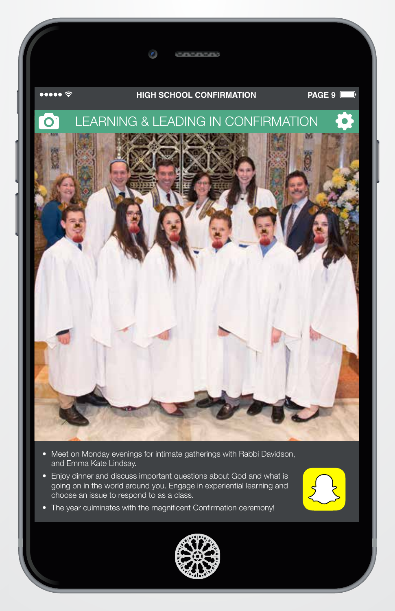#### **HIGH SCHOOL CONFIRMATION PAGE 9**



 $\bullet \bullet \bullet \bullet \mathrel{\widehat{\mathop{\sim}}\nolimits}$ 



- Meet on Monday evenings for intimate gatherings with Rabbi Davidson, and Emma Kate Lindsay.
- Enjoy dinner and discuss important questions about God and what is going on in the world around you. Engage in experiential learning and choose an issue to respond to as a class.
- The year culminates with the magnificent Confirmation ceremony!



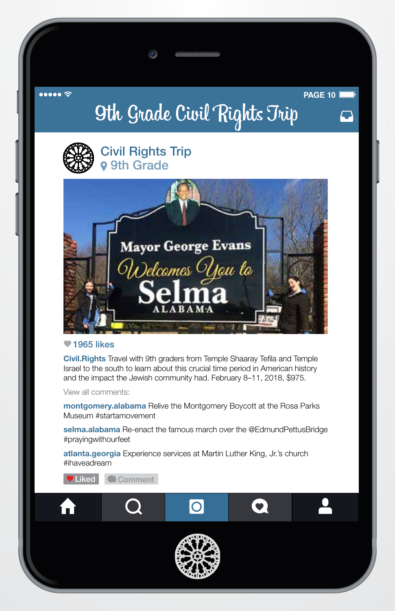AAAAA S

**PAGE 10**

# 9th Grade Civil Rights Trip



Civil Rights Trip **9** 9th Grade



#### $\P$ 1965 likes

Civil.Rights Travel with 9th graders from Temple Shaaray Tefila and Temple Israel to the south to learn about this crucial time period in American history and the impact the Jewish community had. February 8–11, 2018, \$975.

View all comments:

montgomery.alabama Relive the Montgomery Boycott at the Rosa Parks Museum #startamovement

selma.alabama Re-enact the famous march over the @EdmundPettusBridge #prayingwithourfeet

atlanta.georgia Experience services at Martin Luther King, Jr.'s church #ihaveadream

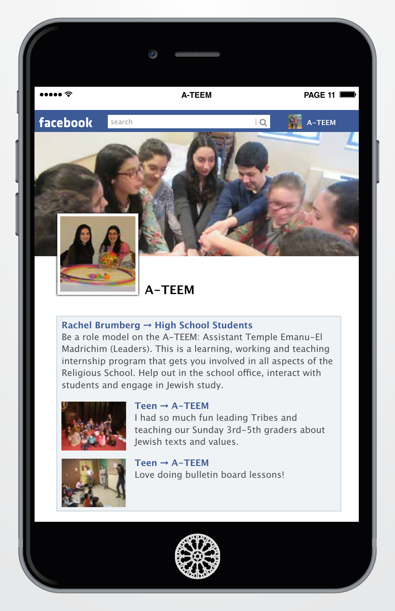$\bullet \bullet \bullet \mathrel{\widehat{\mathop{\sim}}\mathop{\sim}}$ 

**facebook search** *A-TEEM* **A-TEEM** 

**A-TEEM PAGE 11**



**A-TEEM**

#### **Rachel Brumberg** ➞ **High School Students**

Be a role model on the A-TEEM: Assistant Temple Emanu-El Madrichim (Leaders). This is a learning, working and teaching internship program that gets you involved in all aspects of the Religious School. Help out in the school office, interact with students and engage in Jewish study.



#### **Teen** ➞ **A-TEEM**

I had so much fun leading Tribes and teaching our Sunday 3rd-5th graders about Jewish texts and values.



**Teen** ➞ **A-TEEM** Love doing bulletin board lessons!

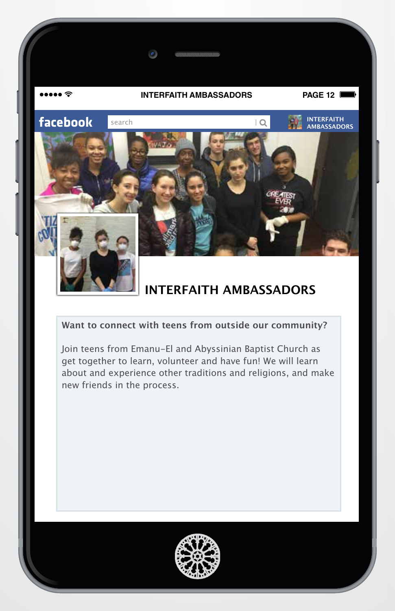

#### **Want to connect with teens from outside our community?**

Join teens from Emanu-El and Abyssinian Baptist Church as get together to learn, volunteer and have fun! We will learn about and experience other traditions and religions, and make new friends in the process.

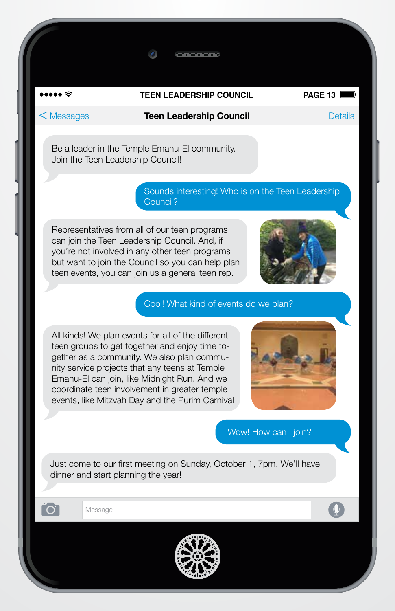#### **TEEN LEADERSHIP COUNCIL PAGE 13**

•••• ≈

#### < Messages Teen Leadership Council Details

Be a leader in the Temple Emanu-El community. Join the Teen Leadership Council!

> Sounds interesting! Who is on the Teen Leadership Council?

Representatives from all of our teen programs can join the Teen Leadership Council. And, if you're not involved in any other teen programs but want to join the Council so you can help plan teen events, you can join us a general teen rep.



Cool! What kind of events do we plan?

All kinds! We plan events for all of the different teen groups to get together and enjoy time together as a community. We also plan community service projects that any teens at Temple Emanu-El can join, like Midnight Run. And we coordinate teen involvement in greater temple events, like Mitzvah Day and the Purim Carnival



Wow! How can I join?

Just come to our first meeting on Sunday, October 1, 7pm. We'll have dinner and start planning the year!

Message

ົດ

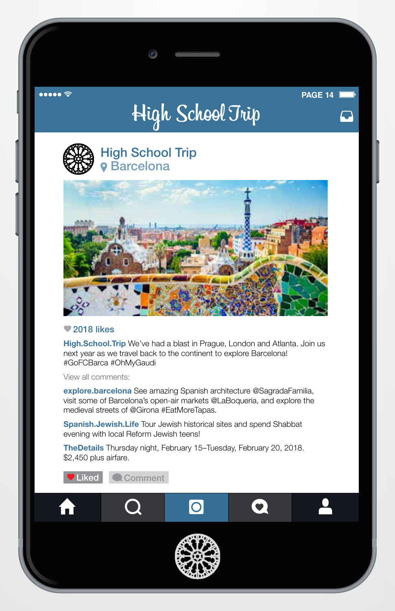#### $\bullet \bullet \bullet \bullet \mathrel{\widehat{\mathop{\mathbf{c}}}}$

# High School Trip

**PAGE 14**



## High School Trip **o** Barcelona



#### ● 2018 likes

High.School.Trip We've had a blast in Prague, London and Atlanta. Join us next year as we travel back to the continent to explore Barcelona! #GoFCBarca #OhMyGaudi

View all comments:

explore.barcelona See amazing Spanish architecture @SagradaFamilia, visit some of Barcelona's open-air markets @LaBoqueria, and explore the medieval streets of @Girona #EatMoreTapas.

Spanish.Jewish.Life Tour Jewish historical sites and spend Shabbat evening with local Reform Jewish teens!

TheDetails Thursday night, February 15–Tuesday, February 20, 2018. \$2,450 plus airfare.

**Liked Comment** O Aì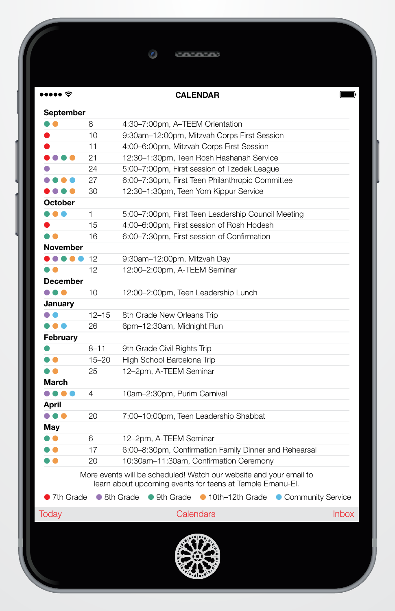#### **CALENDAR**

 $\bullet$ 

 $\bullet \bullet \bullet \bullet \mathrel{\widehat{\mathop{\mathrm{op}}\nolimits}}$ 

| September       |           |                                                                                                                                 |              |
|-----------------|-----------|---------------------------------------------------------------------------------------------------------------------------------|--------------|
|                 | 8         | 4:30-7:00pm, A-TEEM Orientation                                                                                                 |              |
|                 | 10        | 9:30am-12:00pm, Mitzvah Corps First Session                                                                                     |              |
|                 | 11        | 4:00-6:00pm, Mitzvah Corps First Session                                                                                        |              |
| .               | 21        | 12:30-1:30pm, Teen Rosh Hashanah Service                                                                                        |              |
|                 | 24        | 5:00-7:00pm, First session of Tzedek League                                                                                     |              |
| .               | 27        | 6:00-7:30pm, First Teen Philanthropic Committee                                                                                 |              |
| ,,,,            | 30        | 12:30-1:30pm, Teen Yom Kippur Service                                                                                           |              |
| October         |           |                                                                                                                                 |              |
| n A             | 1         | 5:00-7:00pm, First Teen Leadership Council Meeting                                                                              |              |
|                 | 15        | 4:00-6:00pm, First session of Rosh Hodesh                                                                                       |              |
|                 | 16        | 6:00-7:30pm, First session of Confirmation                                                                                      |              |
| November        |           |                                                                                                                                 |              |
| <b>. .</b>      | 12        | 9:30am-12:00pm, Mitzvah Day                                                                                                     |              |
|                 | 12        | 12:00-2:00pm, A-TEEM Seminar                                                                                                    |              |
| <b>December</b> |           |                                                                                                                                 |              |
| .               | 10        | 12:00–2:00pm, Teen Leadership Lunch                                                                                             |              |
| January         |           |                                                                                                                                 |              |
|                 | $12 - 15$ | 8th Grade New Orleans Trip                                                                                                      |              |
| .               | 26        | 6pm-12:30am, Midnight Run                                                                                                       |              |
| February        |           |                                                                                                                                 |              |
|                 | $8 - 11$  | 9th Grade Civil Rights Trip                                                                                                     |              |
| . .             | $15 - 20$ | High School Barcelona Trip                                                                                                      |              |
| D O             | 25        | 12-2pm, A-TEEM Seminar                                                                                                          |              |
| March           |           |                                                                                                                                 |              |
| .               | 4         | 10am-2:30pm, Purim Carnival                                                                                                     |              |
| April           |           |                                                                                                                                 |              |
| .               | 20        | 7:00-10:00pm, Teen Leadership Shabbat                                                                                           |              |
| May             |           |                                                                                                                                 |              |
| D O             | 6         | 12-2pm, A-TEEM Seminar                                                                                                          |              |
| ) 0             | 17        | 6:00-8:30pm, Confirmation Family Dinner and Rehearsal                                                                           |              |
|                 | 20        | 10:30am-11:30am, Confirmation Ceremony                                                                                          |              |
|                 |           | More events will be scheduled! Watch our website and your email to<br>learn about upcoming events for teens at Temple Emanu-El. |              |
| 7th Grade       |           | ● 8th Grade<br>• 9th Grade • 10th-12th Grade<br>Community Service                                                               |              |
|                 |           | Calendars                                                                                                                       | <b>Inbox</b> |